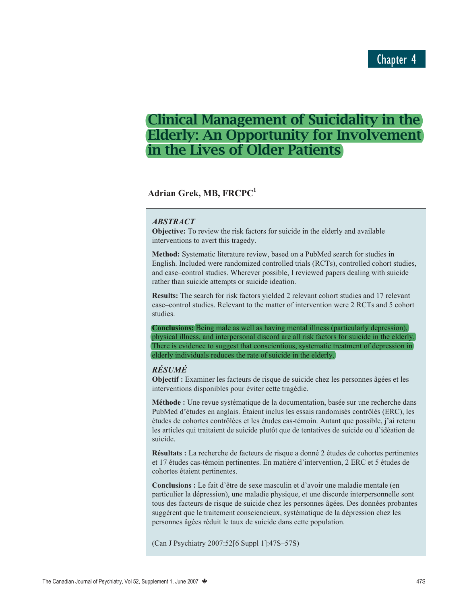# **Clinical Management of Suicidality in the Elderly: An Opportunity for Involvement in the Lives of Older Patients**

# **Adrian Grek, MB, FRCPC1**

# *ABSTRACT*

**Objective:** To review the risk factors for suicide in the elderly and available interventions to avert this tragedy.

**Method:** Systematic literature review, based on a PubMed search for studies in English. Included were randomized controlled trials (RCTs), controlled cohort studies, and case–control studies. Wherever possible, I reviewed papers dealing with suicide rather than suicide attempts or suicide ideation.

**Results:** The search for risk factors yielded 2 relevant cohort studies and 17 relevant case–control studies. Relevant to the matter of intervention were 2 RCTs and 5 cohort studies.

**Conclusions:** Being male as well as having mental illness (particularly depression), physical illness, and interpersonal discord are all risk factors for suicide in the elderly. There is evidence to suggest that conscientious, systematic treatment of depression in elderly individuals reduces the rate of suicide in the elderly.

# *RÉSUMÉ*

**Objectif :** Examiner les facteurs de risque de suicide chez les personnes âgées et les interventions disponibles pour éviter cette tragédie.

**Méthode :** Une revue systématique de la documentation, basée sur une recherche dans PubMed d'études en anglais. Étaient inclus les essais randomisés contrôlés (ERC), les études de cohortes contrôlées et les études cas-témoin. Autant que possible, j'ai retenu les articles qui traitaient de suicide plutôt que de tentatives de suicide ou d'idéation de suicide.

**Résultats :** La recherche de facteurs de risque a donné 2 études de cohortes pertinentes et 17 études cas-témoin pertinentes. En matière d'intervention, 2 ERC et 5 études de cohortes étaient pertinentes.

**Conclusions :** Le fait d'être de sexe masculin et d'avoir une maladie mentale (en particulier la dépression), une maladie physique, et une discorde interpersonnelle sont tous des facteurs de risque de suicide chez les personnes âgées. Des données probantes suggèrent que le traitement consciencieux, systématique de la dépression chez les personnes âgées réduit le taux de suicide dans cette population.

(Can J Psychiatry 2007:52[6 Suppl 1]:47S–57S)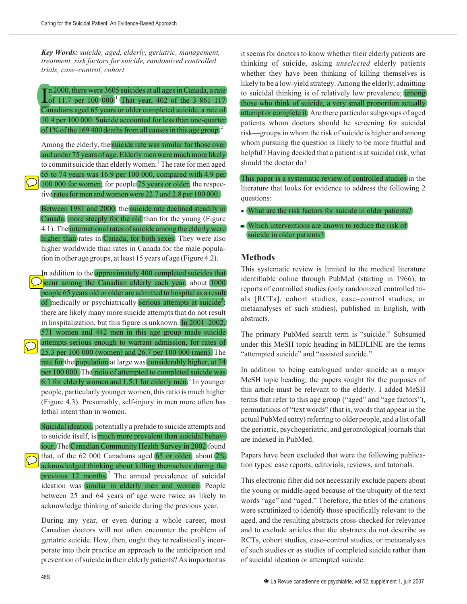*Key Words: suicide, aged, elderly, geriatric, management, treatment, risk factors for suicide, randomized controlled trials, case–control, cohort*

In 2000, there were 3605 suicides at all ages in Canada, a rate<br>of 11.7 per 100 000.<sup>1</sup> That year, 402 of the 3 861 117 In 2000, there were 3605 suicides at all ages in Canada, a rate Canadians aged 65 years or older completed suicide, a rate of 10.4 per 100 000. Suicide accounted for less than one-quarter of 1% of the 169 400 deaths from all causes in this age group.<sup>2</sup>

Among the elderly, the suicide rate was similar for those over and under 75 years of age. Elderly men were much more likely to commit suicide than elderly women.<sup>1</sup> The rate for men aged 65 to 74 years was 16.9 per 100 000, compared with 4.9 per 100 000 for women; for people 75 years or older, the respective rates for men and women were 22.7 and 2.8 per 100 000.

Between 1981 and 2000, the suicide rate declined steadily in Canada, more steeply for the old than for the young (Figure 4.1). The international rates of suicide among the elderly were higher than rates in Canada, for both sexes. They were also higher worldwide than rates in Canada for the male population in other age groups, at least 15 years of age (Figure 4.2).

In addition to the approximately 400 completed suicides that  $\Omega$ <sub>p</sub>ccur among the Canadian elderly each year, about  $(1000)$ people 65 years old or older are admitted to hospital as a result of medically or psychiatrically serious attempts at suicide<sup>5</sup>; there are likely many more suicide attempts that do not result in hospitalization, but this figure is unknown. In 2001–2002, 571 women and 442 men in this age group made suicide attempts serious enough to warrant admission, for rates of 25.3 per 100 000 (women) and 26.7 per 100 000 (men). The rate for the population at large was considerably higher, at 74 per 100 000. The ratio of attempted to completed suicide was 6:1 for elderly women and 1.5:1 for elderly men.<sup>5</sup> In younger people, particularly younger women, this ratio is much higher (Figure 4.3). Presumably, self-injury in men more often has lethal intent than in women.

Suicidal ideation, potentially a prelude to suicide attempts and to suicide itself, is much more prevalent than suicidal behaviour. The Canadian Community Health Survey in 2002 found that, of the 62 000 Canadians aged  $(65 \text{ or older, about } 2\%)$ acknowledged thinking about killing themselves during the previous 12 months.<sup>7</sup> The annual prevalence of suicidal ideation was similar in elderly men and women. People between 25 and 64 years of age were twice as likely to acknowledge thinking of suicide during the previous year.

During any year, or even during a whole career, most Canadian doctors will not often encounter the problem of geriatric suicide. How, then, ought they to realistically incorporate into their practice an approach to the anticipation and prevention of suicide in their elderly patients? As important as

it seems for doctors to know whether their elderly patients are thinking of suicide, asking *unselected* elderly patients whether they have been thinking of killing themselves is likely to be a low-yield strategy. Among the elderly, admitting to suicidal thinking is of relatively low prevalence; among those who think of suicide, a very small proportion actually attempt or complete it. Are there particular subgroups of aged patients whom doctors should be screening for suicidal risk—groups in whom the risk of suicide is higher and among whom pursuing the question is likely to be more fruitful and helpful? Having decided that a patient is at suicidal risk, what should the doctor do?

This paper is a systematic review of controlled studies in the literature that looks for evidence to address the following 2 questions:

- What are the risk factors for suicide in older patients?
- Which interventions are known to reduce the risk of suicide in older patients?

# **Methods**

This systematic review is limited to the medical literature identifiable online through PubMed (starting in 1966), to reports of controlled studies (only randomized controlled trials [RCTs], cohort studies, case–control studies, or metaanalyses of such studies), published in English, with abstracts.

The primary PubMed search term is "suicide." Subsumed under this MeSH topic heading in MEDLINE are the terms "attempted suicide" and "assisted suicide."

In addition to being catalogued under suicide as a major MeSH topic heading, the papers sought for the purposes of this article must be relevant to the elderly. I added MeSH terms that refer to this age group ("aged" and "age factors"), permutations of "text words" (that is, words that appear in the actual PubMed entry) referring to older people, and a list of all the geriatric, psychogeriatric, and gerontological journals that are indexed in PubMed.

Papers have been excluded that were the following publication types: case reports, editorials, reviews, and tutorials.

This electronic filter did not necessarily exclude papers about the young or middle-aged because of the ubiquity of the text words "age" and "aged." Therefore, the titles of the citations were scrutinized to identify those specifically relevant to the aged, and the resulting abstracts cross-checked for relevance and to exclude articles that the abstracts do not describe as RCTs, cohort studies, case–control studies, or metaanalyses of such studies or as studies of completed suicide rather than of suicidal ideation or attempted suicide.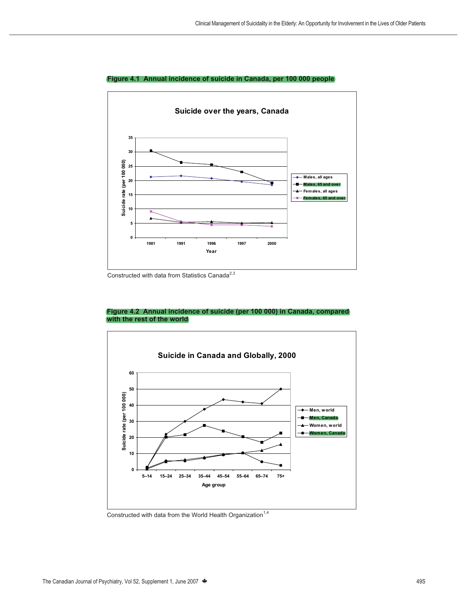

#### **Figure 4.1 Annual incidence of suicide in Canada, per 100 000 people**

Constructed with data from Statistics Canada $^{2,3}$ 

#### **Figure 4.2 Annual incidence of suicide (per 100 000) in Canada, compared with the rest of the world**



Constructed with data from the World Health Organization<sup>1,4</sup>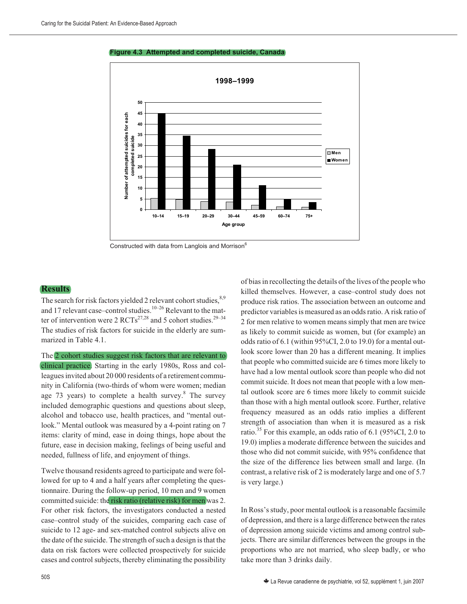#### **Figure 4.3 Attempted and completed suicide, Canada**



Constructed with data from Langlois and Morrison<sup>6</sup>

#### **Results**

The search for risk factors yielded 2 relevant cohort studies,<sup>8,9</sup> and 17 relevant case–control studies. $10-26$  Relevant to the matter of intervention were 2  $\text{RCTs}^{27,28}$  and 5 cohort studies.<sup>29–34</sup> The studies of risk factors for suicide in the elderly are summarized in Table 4.1.

The 2 cohort studies suggest risk factors that are relevant to clinical practice. Starting in the early 1980s, Ross and colleagues invited about 20 000 residents of a retirement community in California (two-thirds of whom were women; median age 73 years) to complete a health survey.<sup>8</sup> The survey included demographic questions and questions about sleep, alcohol and tobacco use, health practices, and "mental outlook." Mental outlook was measured by a 4-point rating on 7 items: clarity of mind, ease in doing things, hope about the future, ease in decision making, feelings of being useful and needed, fullness of life, and enjoyment of things.

Twelve thousand residents agreed to participate and were followed for up to 4 and a half years after completing the questionnaire. During the follow-up period, 10 men and 9 women committed suicide: the risk ratio (relative risk) for men was 2. For other risk factors, the investigators conducted a nested case–control study of the suicides, comparing each case of suicide to 12 age- and sex-matched control subjects alive on the date of the suicide. The strength of such a design is that the data on risk factors were collected prospectively for suicide cases and control subjects, thereby eliminating the possibility of bias in recollecting the details of the lives of the people who killed themselves. However, a case–control study does not produce risk ratios. The association between an outcome and predictor variables is measured as an odds ratio. A risk ratio of 2 for men relative to women means simply that men are twice as likely to commit suicide as women, but (for example) an odds ratio of 6.1 (within 95%CI, 2.0 to 19.0) for a mental outlook score lower than 20 has a different meaning. It implies that people who committed suicide are 6 times more likely to have had a low mental outlook score than people who did not commit suicide. It does not mean that people with a low mental outlook score are 6 times more likely to commit suicide than those with a high mental outlook score. Further, relative frequency measured as an odds ratio implies a different strength of association than when it is measured as a risk ratio.<sup>35</sup> For this example, an odds ratio of 6.1 (95%CI, 2.0 to 19.0) implies a moderate difference between the suicides and those who did not commit suicide, with 95% confidence that the size of the difference lies between small and large. (In contrast, a relative risk of 2 is moderately large and one of 5.7 is very large.)

In Ross's study, poor mental outlook is a reasonable facsimile of depression, and there is a large difference between the rates of depression among suicide victims and among control subjects. There are similar differences between the groups in the proportions who are not married, who sleep badly, or who take more than 3 drinks daily.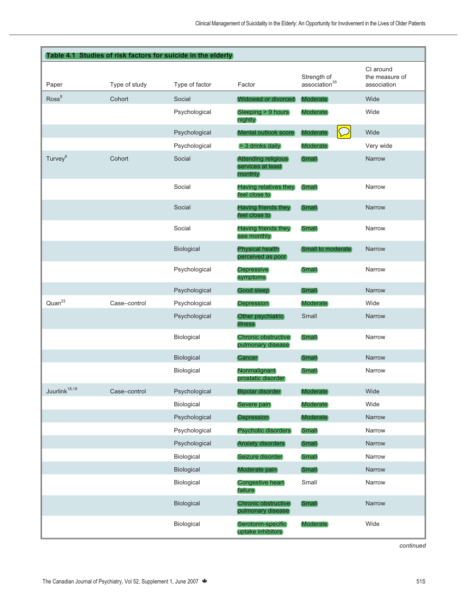|                           |               | Table 4.1 Studies of risk factors for suicide in the elderly |                                                       |                                          |                                            |
|---------------------------|---------------|--------------------------------------------------------------|-------------------------------------------------------|------------------------------------------|--------------------------------------------|
| Paper                     | Type of study | Type of factor                                               | Factor                                                | Strength of<br>association <sup>35</sup> | CI around<br>the measure of<br>association |
| Ross <sup>8</sup>         | Cohort        | Social                                                       | <b>Widowed or divorced</b>                            | <b>Moderate</b>                          | Wide                                       |
|                           |               | Psychological                                                | Sleeping > 9 hours<br>nightly                         | <b>Moderate</b>                          | Wide                                       |
|                           |               | Psychological                                                | Mental outlook score                                  | Moderate                                 | Wide                                       |
|                           |               | Psychological                                                | > 3 drinks daily                                      | <b>Moderate</b>                          | Very wide                                  |
| Turvey <sup>9</sup>       | Cohort        | Social                                                       | Attending religious<br>services at least<br>(monthly) | Small                                    | Narrow                                     |
|                           |               | Social                                                       | Having relatives they<br>feel close to                | Small                                    | Narrow                                     |
|                           |               | Social                                                       | Having friends they<br>feel close to                  | <b>Small</b>                             | Narrow                                     |
|                           |               | Social                                                       | Having friends they<br>see monthly                    | Small                                    | Narrow                                     |
|                           |               | Biological                                                   | <b>Physical health</b><br>perceived as poor           | <b>Small to moderate</b>                 | Narrow                                     |
|                           |               | Psychological                                                | <b>Depressive</b><br>symptoms                         | Small                                    | Narrow                                     |
|                           |               | Psychological                                                | Good sleep                                            | <b>Small</b>                             | Narrow                                     |
| Quan <sup>22</sup>        | Case-control  | Psychological                                                | <b>Depression</b>                                     | <b>Moderate</b>                          | Wide                                       |
|                           |               | Psychological                                                | Other psychiatric<br><i>illness</i>                   | Small                                    | Narrow                                     |
|                           |               | Biological                                                   | Chronic obstructive<br>pulmonary disease              | Small                                    | Narrow                                     |
|                           |               | Biological                                                   | <b>Cancer</b>                                         | (Small)                                  | Narrow                                     |
|                           |               | Biological                                                   | Nonmalignant<br>prostatic disorder                    | Small                                    | Narrow                                     |
| Juurlink <sup>18,19</sup> | Case-control  | Psychological                                                | <b>Bipolar disorder</b>                               | <b>Moderate</b>                          | Wide                                       |
|                           |               | Biological                                                   | Severe pain                                           | <b>Moderate</b>                          | Wide                                       |
|                           |               | Psychological                                                | <b>Depression</b>                                     | <b>Moderate</b>                          | Narrow                                     |
|                           |               | Psychological                                                | <b>Psychotic disorders</b>                            | <b>Small</b>                             | Narrow                                     |
|                           |               | Psychological                                                | <b>Anxiety disorders</b>                              | Small                                    | Narrow                                     |
|                           |               | Biological                                                   | Seizure disorder                                      | Small                                    | Narrow                                     |
|                           |               | Biological                                                   | Moderate pain                                         | Small                                    | Narrow                                     |
|                           |               | Biological                                                   | <b>Congestive heart</b><br>failure                    | Small                                    | Narrow                                     |
|                           |               | Biological                                                   | <b>Chronic obstructive</b><br>pulmonary disease       | Small                                    | Narrow                                     |
|                           |               | Biological                                                   | Serotonin-specific<br>uptake inhibitors               | <b>Moderate</b>                          | Wide                                       |

*continued*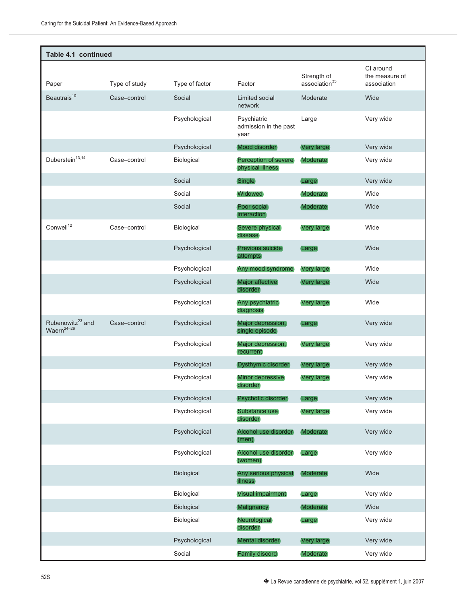| Table 4.1 continued                             |               |                   |                                              |                                          |                                            |  |
|-------------------------------------------------|---------------|-------------------|----------------------------------------------|------------------------------------------|--------------------------------------------|--|
| Paper                                           | Type of study | Type of factor    | Factor                                       | Strength of<br>association <sup>35</sup> | CI around<br>the measure of<br>association |  |
| Beautrais <sup>10</sup>                         | Case-control  | Social            | Limited social<br>network                    | Moderate                                 | Wide                                       |  |
|                                                 |               | Psychological     | Psychiatric<br>admission in the past<br>year | Large                                    | Very wide                                  |  |
|                                                 |               | Psychological     | Mood disorder                                | <b>Very large</b>                        | Very wide                                  |  |
| Duberstein $13,14$                              | Case-control  | Biological        | Perception of severe<br>physical illness     | <b>Moderate</b>                          | Very wide                                  |  |
|                                                 |               | Social            | <b>Single</b>                                | Large                                    | Very wide                                  |  |
|                                                 |               | Social            | <b>Widowed</b>                               | <b>Moderate</b>                          | Wide                                       |  |
|                                                 |               | Social            | Poor social<br>interaction                   | (Moderate)                               | Wide                                       |  |
| Conwell <sup>12</sup>                           | Case-control  | Biological        | Severe physical<br>disease                   | Very large                               | Wide                                       |  |
|                                                 |               | Psychological     | <b>Previous suicide</b><br>attempts          | <b>Large</b>                             | Wide                                       |  |
|                                                 |               | Psychological     | Any mood syndrome                            | Very large                               | Wide                                       |  |
|                                                 |               | Psychological     | Major affective<br>disorder                  | (Very large)                             | Wide                                       |  |
|                                                 |               | Psychological     | Any psychiatric<br>diagnosis                 | Very large                               | Wide                                       |  |
| Rubenowitz <sup>23</sup> and<br>$Waern^{24-26}$ | Case-control  | Psychological     | Major depression,<br>single episode          | <b>Large</b>                             | Very wide                                  |  |
|                                                 |               | Psychological     | Major depression,<br>recurrent               | Very large                               | Very wide                                  |  |
|                                                 |               | Psychological     | Dysthymic disorder                           | <b>Very large</b>                        | Very wide                                  |  |
|                                                 |               | Psychological     | Minor depressive<br>disorder                 | Very large                               | Very wide                                  |  |
|                                                 |               | Psychological     | (Psychotic disorder)                         | Large                                    | Very wide                                  |  |
|                                                 |               | Psychological     | Substance use<br>disorder                    | Very large                               | Very wide                                  |  |
|                                                 |               | Psychological     | Alcohol use disorder<br>(men)                | <b>Moderate</b>                          | Very wide                                  |  |
|                                                 |               | Psychological     | Alcohol use disorder<br>(women)              | Large                                    | Very wide                                  |  |
|                                                 |               | Biological        | Any serious physical<br><b>illness</b>       | <b>Moderate</b>                          | Wide                                       |  |
|                                                 |               | Biological        | <b>Visual impairment</b>                     | Large                                    | Very wide                                  |  |
|                                                 |               | <b>Biological</b> | Malignancy                                   | <b>Moderate</b>                          | Wide                                       |  |
|                                                 |               | Biological        | Neurological<br>disorder                     | Large                                    | Very wide                                  |  |
|                                                 |               | Psychological     | Mental disorder                              | <b>Very large</b>                        | Very wide                                  |  |
|                                                 |               | Social            | <b>Family discord</b>                        | <b>Moderate</b>                          | Very wide                                  |  |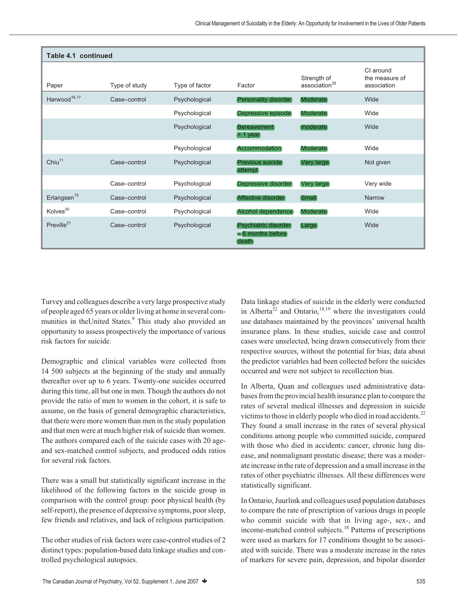| Table 4.1 continued      |               |                |                                                             |                                          |                                            |  |  |
|--------------------------|---------------|----------------|-------------------------------------------------------------|------------------------------------------|--------------------------------------------|--|--|
| Paper                    | Type of study | Type of factor | Factor                                                      | Strength of<br>association <sup>35</sup> | CI around<br>the measure of<br>association |  |  |
| Harwood <sup>16,17</sup> | Case-control  | Psychological  | (Personality disorder)                                      | <b>Moderate</b>                          | Wide                                       |  |  |
|                          |               | Psychological  | Depressive episode                                          | <b>Moderate</b>                          | Wide                                       |  |  |
|                          |               | Psychological  | <b>Bereavement</b><br>$>$ 1 year                            | moderate                                 | Wide                                       |  |  |
|                          |               | Psychological  | <b>Accommodation</b>                                        | <b>Moderate</b>                          | Wide                                       |  |  |
| Chiu <sup>11</sup>       | Case-control  | Psychological  | <b>Previous suicide</b><br>attempt                          | Very large                               | Not given                                  |  |  |
|                          | Case-control  | Psychological  | Depressive disorder                                         | Very large                               | Very wide                                  |  |  |
| Erlangsen <sup>15</sup>  | Case-control  | Psychological  | Affective disorder                                          | Small                                    | Narrow                                     |  |  |
| Kolves <sup>20</sup>     | Case-control  | Psychological  | Alcohol dependence                                          | <b>Moderate</b>                          | Wide                                       |  |  |
| Preville <sup>21</sup>   | Case-control  | Psychological  | (Psychiatric disorder)<br>$\leq 6$ months before<br>(death) | Large                                    | Wide                                       |  |  |

Turvey and colleagues describe a very large prospective study of people aged 65 years or older living at home in several communities in theUnited States.<sup>9</sup> This study also provided an opportunity to assess prospectively the importance of various risk factors for suicide.

Demographic and clinical variables were collected from 14 500 subjects at the beginning of the study and annually thereafter over up to 6 years. Twenty-one suicides occurred during this time, all but one in men. Though the authors do not provide the ratio of men to women in the cohort, it is safe to assume, on the basis of general demographic characteristics, that there were more women than men in the study population and that men were at much higher risk of suicide than women. The authors compared each of the suicide cases with 20 ageand sex-matched control subjects, and produced odds ratios for several risk factors.

There was a small but statistically significant increase in the likelihood of the following factors in the suicide group in comparison with the control group: poor physical health (by self-report), the presence of depressive symptoms, poor sleep, few friends and relatives, and lack of religious participation.

The other studies of risk factors were case-control studies of 2 distinct types: population-based data linkage studies and controlled psychological autopsies.

Data linkage studies of suicide in the elderly were conducted in Alberta<sup>22</sup> and Ontario,<sup>18,19</sup> where the investigators could use databases maintained by the provinces' universal health insurance plans. In these studies, suicide case and control cases were unselected, being drawn consecutively from their respective sources, without the potential for bias; data about the predictor variables had been collected before the suicides occurred and were not subject to recollection bias.

In Alberta, Quan and colleagues used administrative databases from the provincial health insurance plan to compare the rates of several medical illnesses and depression in suicide victims to those in elderly people who died in road accidents.<sup>22</sup> They found a small increase in the rates of several physical conditions among people who committed suicide, compared with those who died in accidents: cancer, chronic lung disease, and nonmalignant prostatic disease; there was a moderate increase in the rate of depression and a small increase in the rates of other psychiatric illnesses. All these differences were statistically significant.

In Ontario, Juurlink and colleagues used population databases to compare the rate of prescription of various drugs in people who commit suicide with that in living age-, sex-, and income-matched control subjects.<sup>18</sup> Patterns of prescriptions were used as markers for 17 conditions thought to be associated with suicide. There was a moderate increase in the rates of markers for severe pain, depression, and bipolar disorder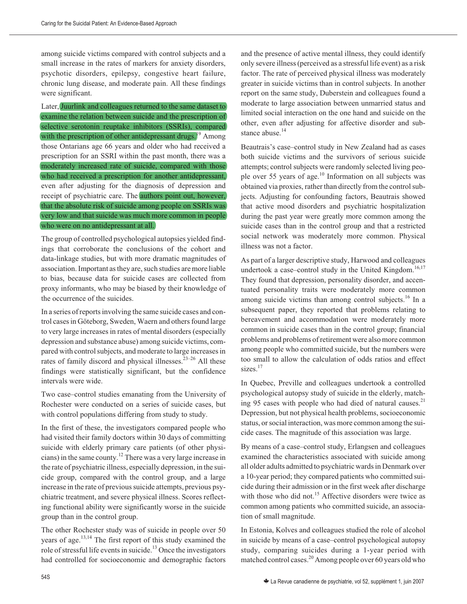among suicide victims compared with control subjects and a small increase in the rates of markers for anxiety disorders, psychotic disorders, epilepsy, congestive heart failure, chronic lung disease, and moderate pain. All these findings were significant.

Later, Juurlink and colleagues returned to the same dataset to examine the relation between suicide and the prescription of selective serotonin reuptake inhibitors (SSRIs), compared with the prescription of other antidepressant drugs. $19$  Among those Ontarians age 66 years and older who had received a prescription for an SSRI within the past month, there was a moderately increased rate of suicide, compared with those who had received a prescription for another antidepressant, even after adjusting for the diagnosis of depression and receipt of psychiatric care. The authors point out, however, that the absolute risk of suicide among people on SSRIs was very low and that suicide was much more common in people who were on no antidepressant at all.

The group of controlled psychological autopsies yielded findings that corroborate the conclusions of the cohort and data-linkage studies, but with more dramatic magnitudes of association. Important as they are, such studies are more liable to bias, because data for suicide cases are collected from proxy informants, who may be biased by their knowledge of the occurrence of the suicides.

In a series of reports involving the same suicide cases and control cases in Göteborg, Sweden, Waern and others found large to very large increases in rates of mental disorders (especially depression and substance abuse) among suicide victims, compared with control subjects, and moderate to large increases in rates of family discord and physical illnesses.<sup>23-26</sup> All these findings were statistically significant, but the confidence intervals were wide.

Two case–control studies emanating from the University of Rochester were conducted on a series of suicide cases, but with control populations differing from study to study.

In the first of these, the investigators compared people who had visited their family doctors within 30 days of committing suicide with elderly primary care patients (of other physicians) in the same county.<sup>12</sup> There was a very large increase in the rate of psychiatric illness, especially depression, in the suicide group, compared with the control group, and a large increase in the rate of previous suicide attempts, previous psychiatric treatment, and severe physical illness. Scores reflecting functional ability were significantly worse in the suicide group than in the control group.

The other Rochester study was of suicide in people over 50 years of age.<sup>13,14</sup> The first report of this study examined the role of stressful life events in suicide.<sup>13</sup> Once the investigators had controlled for socioeconomic and demographic factors and the presence of active mental illness, they could identify only severe illness (perceived as a stressful life event) as a risk factor. The rate of perceived physical illness was moderately greater in suicide victims than in control subjects. In another report on the same study, Duberstein and colleagues found a moderate to large association between unmarried status and limited social interaction on the one hand and suicide on the other, even after adjusting for affective disorder and substance abuse.<sup>14</sup>

Beautrais's case–control study in New Zealand had as cases both suicide victims and the survivors of serious suicide attempts; control subjects were randomly selected living people over 55 years of age.<sup>10</sup> Information on all subjects was obtained via proxies, rather than directly from the control subjects. Adjusting for confounding factors, Beautrais showed that active mood disorders and psychiatric hospitalization during the past year were greatly more common among the suicide cases than in the control group and that a restricted social network was moderately more common. Physical illness was not a factor.

As part of a larger descriptive study, Harwood and colleagues undertook a case–control study in the United Kingdom.<sup>16,17</sup> They found that depression, personality disorder, and accentuated personality traits were moderately more common among suicide victims than among control subjects.<sup>16</sup> In a subsequent paper, they reported that problems relating to bereavement and accommodation were moderately more common in suicide cases than in the control group; financial problems and problems of retirement were also more common among people who committed suicide, but the numbers were too small to allow the calculation of odds ratios and effect sizes.<sup>17</sup>

In Quebec, Preville and colleagues undertook a controlled psychological autopsy study of suicide in the elderly, matching 95 cases with people who had died of natural causes. $21$ Depression, but not physical health problems, socioeconomic status, or social interaction, was more common among the suicide cases. The magnitude of this association was large.

By means of a case–control study, Erlangsen and colleagues examined the characteristics associated with suicide among all older adults admitted to psychiatric wards in Denmark over a 10-year period; they compared patients who committed suicide during their admission or in the first week after discharge with those who did not.<sup>15</sup> Affective disorders were twice as common among patients who committed suicide, an association of small magnitude.

In Estonia, Kolves and colleagues studied the role of alcohol in suicide by means of a case–control psychological autopsy study, comparing suicides during a 1-year period with matched control cases.<sup>20</sup> Among people over 60 years old who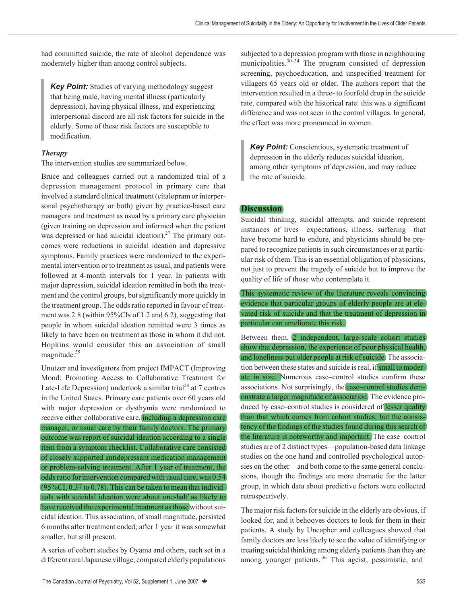had committed suicide, the rate of alcohol dependence was moderately higher than among control subjects.

*Key Point:* Studies of varying methodology suggest that being male, having mental illness (particularly depression), having physical illness, and experiencing interpersonal discord are all risk factors for suicide in the elderly. Some of these risk factors are susceptible to modification.

# *Therapy*

The intervention studies are summarized below.

Bruce and colleagues carried out a randomized trial of a depression management protocol in primary care that involved a standard clinical treatment (citalopram or interpersonal psychotherapy or both) given by practice-based care managers and treatment as usual by a primary care physician (given training on depression and informed when the patient was depressed or had suicidal ideation).<sup>27</sup> The primary outcomes were reductions in suicidal ideation and depressive symptoms. Family practices were randomized to the experimental intervention or to treatment as usual, and patients were followed at 4-month intervals for 1 year. In patients with major depression, suicidal ideation remitted in both the treatment and the control groups, but significantly more quickly in the treatment group. The odds ratio reported in favour of treatment was 2.8 (within 95%CIs of 1.2 and 6.2), suggesting that people in whom suicidal ideation remitted were 3 times as likely to have been on treatment as those in whom it did not. Hopkins would consider this an association of small magnitude.<sup>35</sup>

Unutzer and investigators from project IMPACT (Improving Mood: Promoting Access to Collaborative Treatment for Late-Life Depression) undertook a similar trial<sup>28</sup> at 7 centres in the United States. Primary care patients over 60 years old with major depression or dysthymia were randomized to receive either collaborative care, including a depression care manager, or usual care by their family doctors. The primary outcome was report of suicidal ideation according to a single item from a symptom checklist. Collaborative care consisted of closely supported antidepressant medication management or problem-solving treatment. After 1 year of treatment, the odds ratio for intervention compared with usual care, was 0.54 (95%CI, 0.37 to 0.78). This can be taken to mean that individuals with suicidal ideation were about one-half as likely to have received the experimental treatment as those without suicidal ideation. This association, of small magnitude, persisted 6 months after treatment ended; after 1 year it was somewhat smaller, but still present.

A series of cohort studies by Oyama and others, each set in a different rural Japanese village, compared elderly populations

subjected to a depression program with those in neighbouring municipalities. $30-34$  The program consisted of depression screening, psychoeducation, and unspecified treatment for villagers 65 years old or older. The authors report that the intervention resulted in a three- to fourfold drop in the suicide rate, compared with the historical rate: this was a significant difference and was not seen in the control villages. In general, the effect was more pronounced in women.

**Key Point:** Conscientious, systematic treatment of depression in the elderly reduces suicidal ideation, among other symptoms of depression, and may reduce the rate of suicide.

# **Discussion**

Suicidal thinking, suicidal attempts, and suicide represent instances of lives—expectations, illness, suffering—that have become hard to endure, and physicians should be prepared to recognize patients in such circumstances or at particular risk of them. This is an essential obligation of physicians, not just to prevent the tragedy of suicide but to improve the quality of life of those who contemplate it.

This systematic review of the literature reveals convincing evidence that particular groups of elderly people are at elevated risk of suicide and that the treatment of depression in particular can ameliorate this risk.

Between them, 2 independent, large-scale cohort studies show that depression, the experience of poor physical health, and loneliness put older people at risk of suicide. The association between these states and suicide is real, if small to moderate in size. Numerous case–control studies confirm these associations. Not surprisingly, the case–control studies demonstrate a larger magnitude of association. The evidence produced by case–control studies is considered of lesser quality than that which comes from cohort studies, but the consistency of the findings of the studies found during this search of the literature is noteworthy and important. The case–control studies are of 2 distinct types—population-based data linkage studies on the one hand and controlled psychological autopsies on the other—and both come to the same general conclusions, though the findings are more dramatic for the latter group, in which data about predictive factors were collected retrospectively.

The major risk factors for suicide in the elderly are obvious, if looked for, and it behooves doctors to look for them in their patients. A study by Uncapher and colleagues showed that family doctors are less likely to see the value of identifying or treating suicidal thinking among elderly patients than they are among younger patients.<sup>36</sup> This ageist, pessimistic, and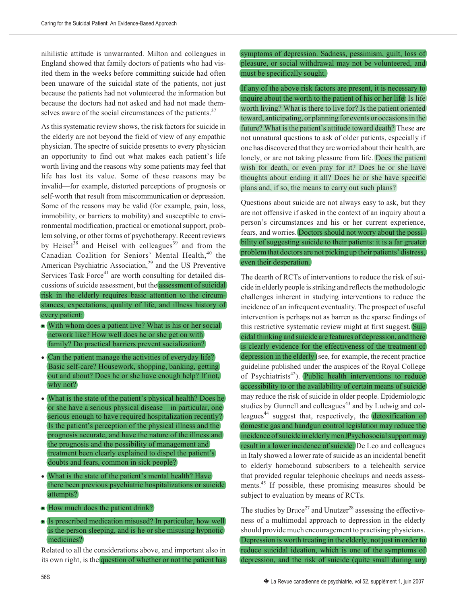nihilistic attitude is unwarranted. Milton and colleagues in England showed that family doctors of patients who had visited them in the weeks before committing suicide had often been unaware of the suicidal state of the patients, not just because the patients had not volunteered the information but because the doctors had not asked and had not made themselves aware of the social circumstances of the patients.<sup>37</sup>

As this systematic review shows, the risk factors for suicide in the elderly are not beyond the field of view of any empathic physician. The spectre of suicide presents to every physician an opportunity to find out what makes each patient's life worth living and the reasons why some patients may feel that life has lost its value. Some of these reasons may be invalid—for example, distorted perceptions of prognosis or self-worth that result from miscommunication or depression. Some of the reasons may be valid (for example, pain, loss, immobility, or barriers to mobility) and susceptible to environmental modification, practical or emotional support, problem solving, or other forms of psychotherapy. Recent reviews by Heisel<sup>38</sup> and Heisel with colleagues<sup>39</sup> and from the Canadian Coalition for Seniors' Mental Health,<sup>40</sup> the American Psychiatric Association, $29$  and the US Preventive Services Task Force $4$ <sup>1</sup> are worth consulting for detailed discussions of suicide assessment, but the assessment of suicidal risk in the elderly requires basic attention to the circumstances, expectations, quality of life, and illness history of every patient:

- With whom does a patient live? What is his or her social network like? How well does he or she get on with family? Do practical barriers prevent socialization?
- Can the patient manage the activities of everyday life? Basic self-care? Housework, shopping, banking, getting out and about? Does he or she have enough help? If not, why not?
- What is the state of the patient's physical health? Does he or she have a serious physical disease—in particular, one serious enough to have required hospitalization recently? Is the patient's perception of the physical illness and the prognosis accurate, and have the nature of the illness and the prognosis and the possibility of management and treatment been clearly explained to dispel the patient's doubts and fears, common in sick people?
- What is the state of the patient's mental health? Have there been previous psychiatric hospitalizations or suicide attempts?
- How much does the patient drink?
- Is prescribed medication misused? In particular, how well is the person sleeping, and is he or she misusing hypnotic medicines?

Related to all the considerations above, and important also in its own right, is the question of whether or not the patient has symptoms of depression. Sadness, pessimism, guilt, loss of pleasure, or social withdrawal may not be volunteered, and must be specifically sought.

If any of the above risk factors are present, it is necessary to inquire about the worth to the patient of his or her life: Is life worth living? What is there to live for? Is the patient oriented toward, anticipating, or planning for events or occasions in the future? What is the patient's attitude toward death? These are not unnatural questions to ask of older patients, especially if one has discovered that they are worried about their health, are lonely, or are not taking pleasure from life. Does the patient wish for death, or even pray for it? Does he or she have thoughts about ending it all? Does he or she have specific plans and, if so, the means to carry out such plans?

Questions about suicide are not always easy to ask, but they are not offensive if asked in the context of an inquiry about a person's circumstances and his or her current experience, fears, and worries. Doctors should not worry about the possibility of suggesting suicide to their patients: it is a far greater problem that doctors are not picking up their patients' distress, even their desperation.

The dearth of RCTs of interventions to reduce the risk of suicide in elderly people is striking and reflects the methodologic challenges inherent in studying interventions to reduce the incidence of an infrequent eventuality. The prospect of useful intervention is perhaps not as barren as the sparse findings of this restrictive systematic review might at first suggest. Suicidal thinking and suicide are features of depression, and there is clearly evidence for the effectiveness of the treatment of depression in the elderly (see, for example, the recent practice guideline published under the auspices of the Royal College of Psychiatrists<sup>42</sup>). Public health interventions to reduce accessibility to or the availability of certain means of suicide may reduce the risk of suicide in older people. Epidemiologic studies by Gunnell and colleagues<sup>43</sup> and by Ludwig and colleagues<sup>44</sup> suggest that, respectively, the detoxification of domestic gas and handgun control legislation may reduce the incidence of suicide in elderly men. Psychosocial support may result in a lower incidence of suicide: De Leo and colleagues in Italy showed a lower rate of suicide as an incidental benefit to elderly homebound subscribers to a telehealth service that provided regular telephonic checkups and needs assessments.<sup>45</sup> If possible, these promising measures should be subject to evaluation by means of RCTs.

The studies by  $Bruce^{27}$  and Unutzer<sup>28</sup> assessing the effectiveness of a multimodal approach to depression in the elderly should provide much encouragement to practising physicians. Depression is worth treating in the elderly, not just in order to reduce suicidal ideation, which is one of the symptoms of depression, and the risk of suicide (quite small during any